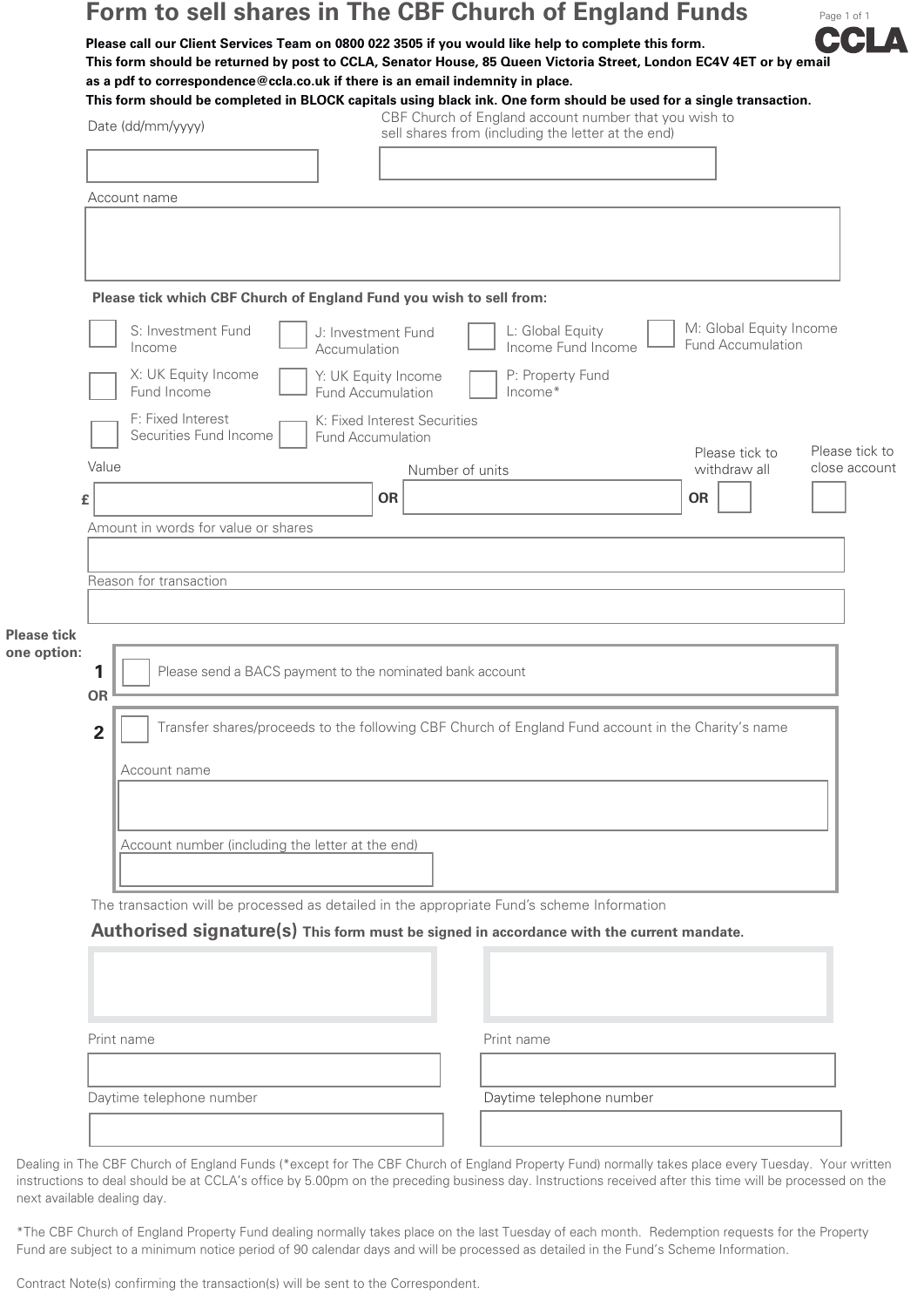## **Form to sell shares in The CBF Church of England Funds**

**Please call our Client Services Team on 0800 022 3505 if you would like help to complete this form. This form should be returned by post to CCLA, Senator House, 85 Queen Victoria Street, London EC4V 4ET or by email as a pdf to correspondence@ccla.co.uk if there is an email indemnity in place.**

Page 1 of 1

Date (dd/mm/yyyy) Account name **This form should be completed in BLOCK capitals using black ink. One form should be used for a single transaction.**  CBF Church of England account number that you wish to sell shares from (including the letter at the end) **Please tick which CBF Church of England Fund you wish to sell from:**  M: Global Equity Income Fund Accumulation L: Global Equity Income Fund Income P: Property Fund Income\* S: Investment Fund Income X: UK Equity Income Fund Income F: Fixed Interest Securities Fund Income J: Investment Fund Accumulation Y: UK Equity Income Fund Accumulation K: Fixed Interest Securities Fund Accumulation Please tick to

|                    |                                     |                                                                                                    |                 | Please tick to | Please tick to |  |  |  |
|--------------------|-------------------------------------|----------------------------------------------------------------------------------------------------|-----------------|----------------|----------------|--|--|--|
|                    | Value                               |                                                                                                    | Number of units | withdraw all   | close account  |  |  |  |
|                    | £                                   | <b>OR</b>                                                                                          |                 | <b>OR</b>      |                |  |  |  |
|                    | Amount in words for value or shares |                                                                                                    |                 |                |                |  |  |  |
|                    |                                     |                                                                                                    |                 |                |                |  |  |  |
|                    | Reason for transaction              |                                                                                                    |                 |                |                |  |  |  |
|                    |                                     |                                                                                                    |                 |                |                |  |  |  |
| <b>Please tick</b> |                                     |                                                                                                    |                 |                |                |  |  |  |
| one option:        |                                     |                                                                                                    |                 |                |                |  |  |  |
|                    | 1                                   | Please send a BACS payment to the nominated bank account                                           |                 |                |                |  |  |  |
|                    | OR                                  |                                                                                                    |                 |                |                |  |  |  |
|                    | $\overline{2}$                      | Transfer shares/proceeds to the following CBF Church of England Fund account in the Charity's name |                 |                |                |  |  |  |
|                    | Account name                        |                                                                                                    |                 |                |                |  |  |  |
|                    |                                     |                                                                                                    |                 |                |                |  |  |  |
|                    |                                     |                                                                                                    |                 |                |                |  |  |  |

Account number (including the letter at the end)

The transaction will be processed as detailed in the appropriate Fund's scheme Information

**Authorised signature(s) This form must be signed in accordance with the current mandate.**

| Print name               |  | Print name               |
|--------------------------|--|--------------------------|
|                          |  |                          |
| Daytime telephone number |  | Daytime telephone number |
|                          |  |                          |

Dealing in The CBF Church of England Funds (\*except for The CBF Church of England Property Fund) normally takes place every Tuesday. Your written instructions to deal should be at CCLA's office by 5.00pm on the preceding business day. Instructions received after this time will be processed on the next available dealing day.

\*The CBF Church of England Property Fund dealing normally takes place on the last Tuesday of each month. Redemption requests for the Property Fund are subject to a minimum notice period of 90 calendar days and will be processed as detailed in the Fund's Scheme Information.

Contract Note(s) confirming the transaction(s) will be sent to the Correspondent.